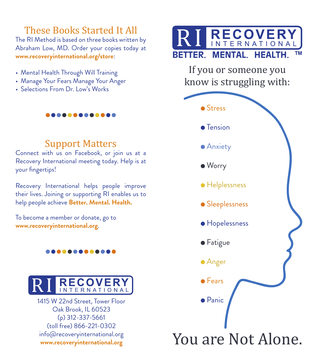## These Books Started It All

The RI Method is based on three books written by Abraham Low, MD. Order your copies today at **www.recoveryinternational.org/store**:

- Mental Health Through Will Training
- Manage Your Fears Manage Your Anger
- Selections From Dr. Low's Works

## Support Matters

. . . . . . . . . . . .

Connect with us on Facebook, or join us at a Recovery International meeting today. Help is at your fingertips!

Recovery International helps people improve their lives. Joining or supporting RI enables us to help people achieve **Better. Mental. Health.**

To become a member or donate, go to **www.recoveryinternational.org**.

#### ..........



1415 W 22nd Street, Tower Floor Oak Brook, IL 60523 (p) 312-337-5661 (toll free) 866-221-0302 info@recoveryinternational.org **www.recoveryinternational.org**



If you or someone you know is struggling with: